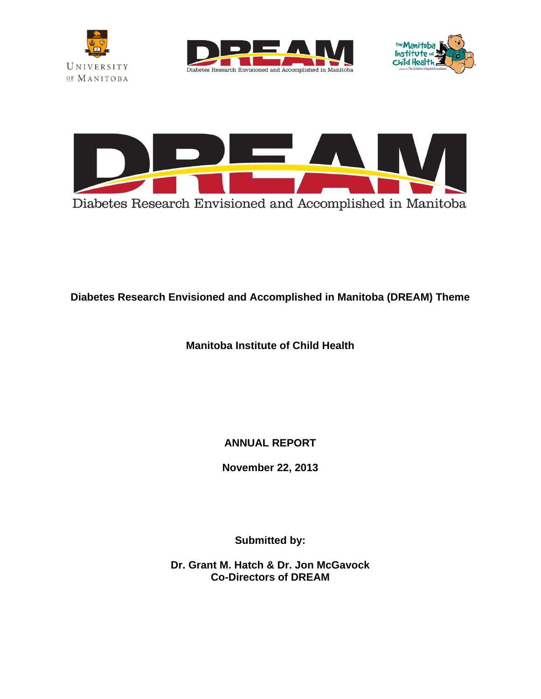







**Diabetes Research Envisioned and Accomplished in Manitoba (DREAM) Theme** 

**Manitoba Institute of Child Health** 

**ANNUAL REPORT** 

**November 22, 2013** 

**Submitted by:** 

**Dr. Grant M. Hatch & Dr. Jon McGavock Co-Directors of DREAM**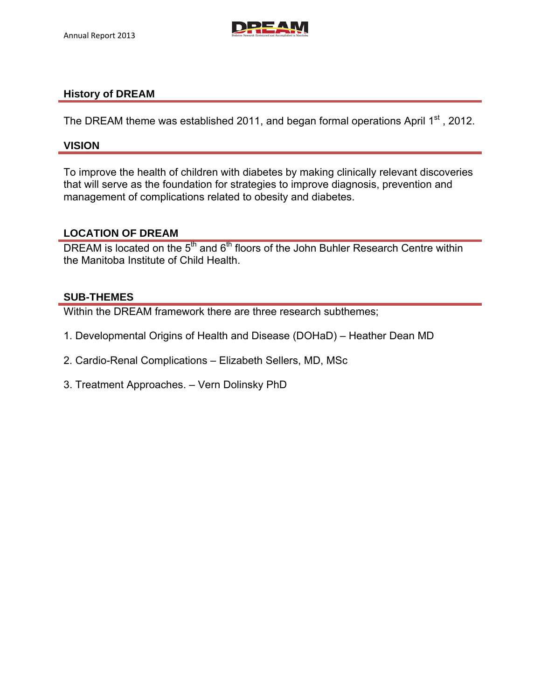

#### **History of DREAM**

The DREAM theme was established 2011, and began formal operations April 1<sup>st</sup>, 2012.

#### **VISION**

To improve the health of children with diabetes by making clinically relevant discoveries that will serve as the foundation for strategies to improve diagnosis, prevention and management of complications related to obesity and diabetes.

#### **LOCATION OF DREAM**

DREAM is located on the  $5<sup>th</sup>$  and  $6<sup>th</sup>$  floors of the John Buhler Research Centre within the Manitoba Institute of Child Health.

#### **SUB-THEMES**

Within the DREAM framework there are three research subthemes;

- 1. Developmental Origins of Health and Disease (DOHaD) Heather Dean MD
- 2. Cardio-Renal Complications Elizabeth Sellers, MD, MSc
- 3. Treatment Approaches. Vern Dolinsky PhD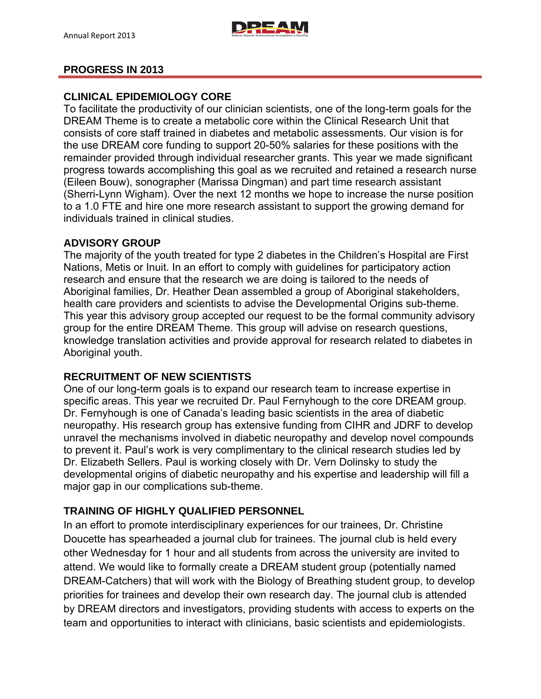

#### **PROGRESS IN 2013**

#### **CLINICAL EPIDEMIOLOGY CORE**

To facilitate the productivity of our clinician scientists, one of the long-term goals for the DREAM Theme is to create a metabolic core within the Clinical Research Unit that consists of core staff trained in diabetes and metabolic assessments. Our vision is for the use DREAM core funding to support 20-50% salaries for these positions with the remainder provided through individual researcher grants. This year we made significant progress towards accomplishing this goal as we recruited and retained a research nurse (Eileen Bouw), sonographer (Marissa Dingman) and part time research assistant (Sherri-Lynn Wigham). Over the next 12 months we hope to increase the nurse position to a 1.0 FTE and hire one more research assistant to support the growing demand for individuals trained in clinical studies.

#### **ADVISORY GROUP**

The majority of the youth treated for type 2 diabetes in the Children's Hospital are First Nations, Metis or Inuit. In an effort to comply with guidelines for participatory action research and ensure that the research we are doing is tailored to the needs of Aboriginal families, Dr. Heather Dean assembled a group of Aboriginal stakeholders, health care providers and scientists to advise the Developmental Origins sub-theme. This year this advisory group accepted our request to be the formal community advisory group for the entire DREAM Theme. This group will advise on research questions, knowledge translation activities and provide approval for research related to diabetes in Aboriginal youth.

#### **RECRUITMENT OF NEW SCIENTISTS**

One of our long-term goals is to expand our research team to increase expertise in specific areas. This year we recruited Dr. Paul Fernyhough to the core DREAM group. Dr. Fernyhough is one of Canada's leading basic scientists in the area of diabetic neuropathy. His research group has extensive funding from CIHR and JDRF to develop unravel the mechanisms involved in diabetic neuropathy and develop novel compounds to prevent it. Paul's work is very complimentary to the clinical research studies led by Dr. Elizabeth Sellers. Paul is working closely with Dr. Vern Dolinsky to study the developmental origins of diabetic neuropathy and his expertise and leadership will fill a major gap in our complications sub-theme.

#### **TRAINING OF HIGHLY QUALIFIED PERSONNEL**

In an effort to promote interdisciplinary experiences for our trainees, Dr. Christine Doucette has spearheaded a journal club for trainees. The journal club is held every other Wednesday for 1 hour and all students from across the university are invited to attend. We would like to formally create a DREAM student group (potentially named DREAM-Catchers) that will work with the Biology of Breathing student group, to develop priorities for trainees and develop their own research day. The journal club is attended by DREAM directors and investigators, providing students with access to experts on the team and opportunities to interact with clinicians, basic scientists and epidemiologists.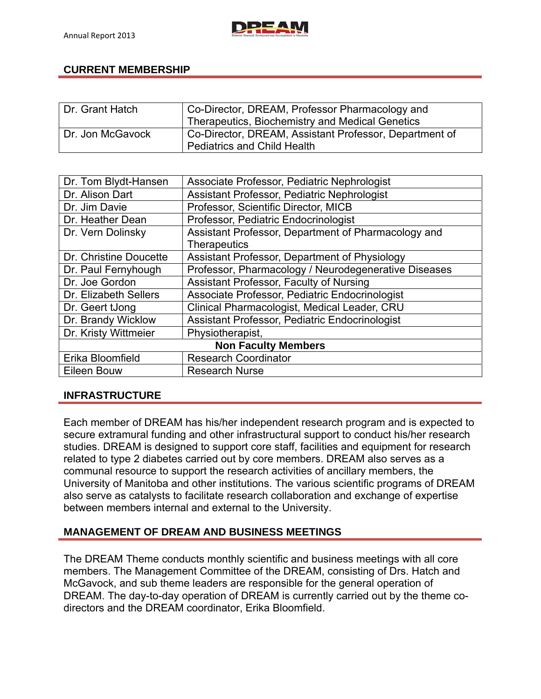## **CURRENT MEMBERSHIP**

| Dr. Grant Hatch  | Co-Director, DREAM, Professor Pharmacology and<br>Therapeutics, Biochemistry and Medical Genetics |
|------------------|---------------------------------------------------------------------------------------------------|
| Dr. Jon McGavock | Co-Director, DREAM, Assistant Professor, Department of<br><b>Pediatrics and Child Health</b>      |

| Dr. Tom Blydt-Hansen       | Associate Professor, Pediatric Nephrologist          |  |  |
|----------------------------|------------------------------------------------------|--|--|
| Dr. Alison Dart            | Assistant Professor, Pediatric Nephrologist          |  |  |
| Dr. Jim Davie              | Professor, Scientific Director, MICB                 |  |  |
| Dr. Heather Dean           | Professor, Pediatric Endocrinologist                 |  |  |
| Dr. Vern Dolinsky          | Assistant Professor, Department of Pharmacology and  |  |  |
|                            | <b>Therapeutics</b>                                  |  |  |
| Dr. Christine Doucette     | Assistant Professor, Department of Physiology        |  |  |
| Dr. Paul Fernyhough        | Professor, Pharmacology / Neurodegenerative Diseases |  |  |
| Dr. Joe Gordon             | Assistant Professor, Faculty of Nursing              |  |  |
| Dr. Elizabeth Sellers      | Associate Professor, Pediatric Endocrinologist       |  |  |
| Dr. Geert tJong            | Clinical Pharmacologist, Medical Leader, CRU         |  |  |
| Dr. Brandy Wicklow         | Assistant Professor, Pediatric Endocrinologist       |  |  |
| Dr. Kristy Wittmeier       | Physiotherapist,                                     |  |  |
| <b>Non Faculty Members</b> |                                                      |  |  |
| Erika Bloomfield           | <b>Research Coordinator</b>                          |  |  |
| Eileen Bouw                | <b>Research Nurse</b>                                |  |  |

#### **INFRASTRUCTURE**

Each member of DREAM has his/her independent research program and is expected to secure extramural funding and other infrastructural support to conduct his/her research studies. DREAM is designed to support core staff, facilities and equipment for research related to type 2 diabetes carried out by core members. DREAM also serves as a communal resource to support the research activities of ancillary members, the University of Manitoba and other institutions. The various scientific programs of DREAM also serve as catalysts to facilitate research collaboration and exchange of expertise between members internal and external to the University.

#### **MANAGEMENT OF DREAM AND BUSINESS MEETINGS**

The DREAM Theme conducts monthly scientific and business meetings with all core members. The Management Committee of the DREAM, consisting of Drs. Hatch and McGavock, and sub theme leaders are responsible for the general operation of DREAM. The day-to-day operation of DREAM is currently carried out by the theme codirectors and the DREAM coordinator, Erika Bloomfield.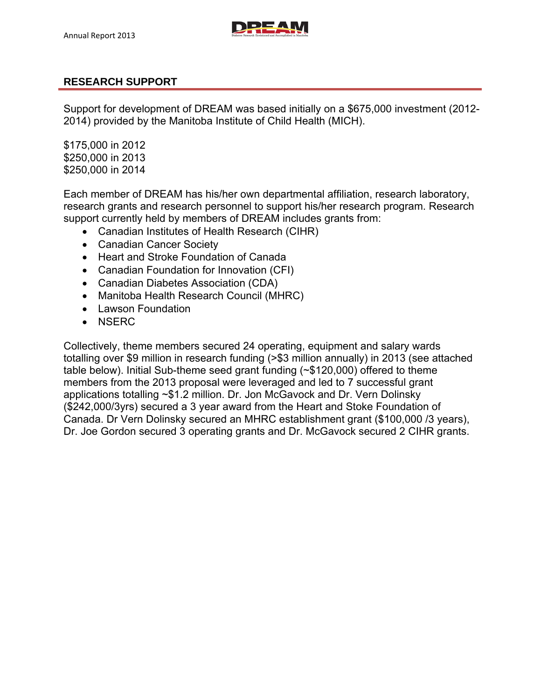

## **RESEARCH SUPPORT**

Support for development of DREAM was based initially on a \$675,000 investment (2012- 2014) provided by the Manitoba Institute of Child Health (MICH).

\$175,000 in 2012 \$250,000 in 2013 \$250,000 in 2014

Each member of DREAM has his/her own departmental affiliation, research laboratory, research grants and research personnel to support his/her research program. Research support currently held by members of DREAM includes grants from:

- Canadian Institutes of Health Research (CIHR)
- Canadian Cancer Society
- Heart and Stroke Foundation of Canada
- Canadian Foundation for Innovation (CFI)
- Canadian Diabetes Association (CDA)
- Manitoba Health Research Council (MHRC)
- Lawson Foundation
- NSERC

Collectively, theme members secured 24 operating, equipment and salary wards totalling over \$9 million in research funding (>\$3 million annually) in 2013 (see attached table below). Initial Sub-theme seed grant funding (~\$120,000) offered to theme members from the 2013 proposal were leveraged and led to 7 successful grant applications totalling ~\$1.2 million. Dr. Jon McGavock and Dr. Vern Dolinsky (\$242,000/3yrs) secured a 3 year award from the Heart and Stoke Foundation of Canada. Dr Vern Dolinsky secured an MHRC establishment grant (\$100,000 /3 years), Dr. Joe Gordon secured 3 operating grants and Dr. McGavock secured 2 CIHR grants.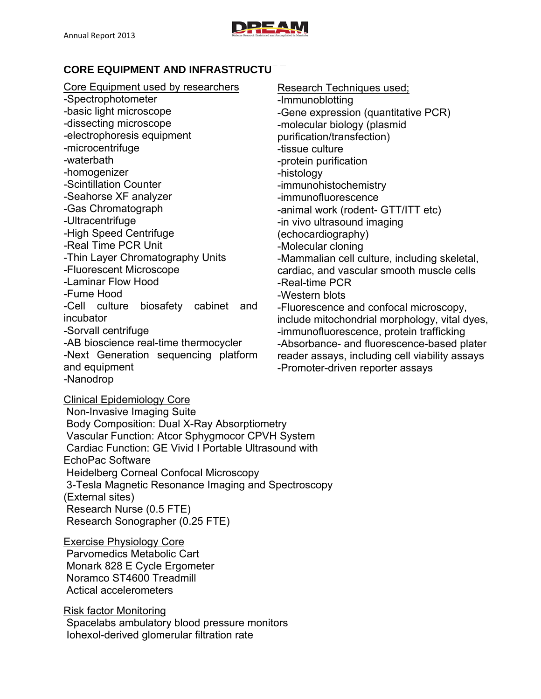

# **CORE EQUIPMENT AND INFRASTRUCTUT**

#### Core Equipment used by researchers -Spectrophotometer -basic light microscope -dissecting microscope -electrophoresis equipment -microcentrifuge -waterbath -homogenizer -Scintillation Counter -Seahorse XF analyzer -Gas Chromatograph -Ultracentrifuge -High Speed Centrifuge -Real Time PCR Unit -Thin Layer Chromatography Units -Fluorescent Microscope -Laminar Flow Hood -Fume Hood -Cell culture biosafety cabinet and incubator -Sorvall centrifuge -AB bioscience real-time thermocycler -Next Generation sequencing platform and equipment Research Techniques used; -Immunoblotting -Gene expression (quantitative PCR) -molecular biology (plasmid purification/transfection) -tissue culture -protein purification -histology -immunohistochemistry -immunofluorescence -animal work (rodent- GTT/ITT etc) -in vivo ultrasound imaging (echocardiography) -Molecular cloning -Mammalian cell culture, including skeletal, cardiac, and vascular smooth muscle cells -Real-time PCR -Western blots -Fluorescence and confocal microscopy, include mitochondrial morphology, vital dyes, -immunofluorescence, protein trafficking -Absorbance- and fluorescence-based plater reader assays, including cell viability assays -Promoter-driven reporter assays

-Nanodrop

Clinical Epidemiology Core Non-Invasive Imaging Suite Body Composition: Dual X-Ray Absorptiometry Vascular Function: Atcor Sphygmocor CPVH System Cardiac Function: GE Vivid I Portable Ultrasound with EchoPac Software Heidelberg Corneal Confocal Microscopy 3-Tesla Magnetic Resonance Imaging and Spectroscopy (External sites) Research Nurse (0.5 FTE) Research Sonographer (0.25 FTE)

Exercise Physiology Core Parvomedics Metabolic Cart

 Monark 828 E Cycle Ergometer Noramco ST4600 Treadmill Actical accelerometers

Risk factor Monitoring Spacelabs ambulatory blood pressure monitors Iohexol-derived glomerular filtration rate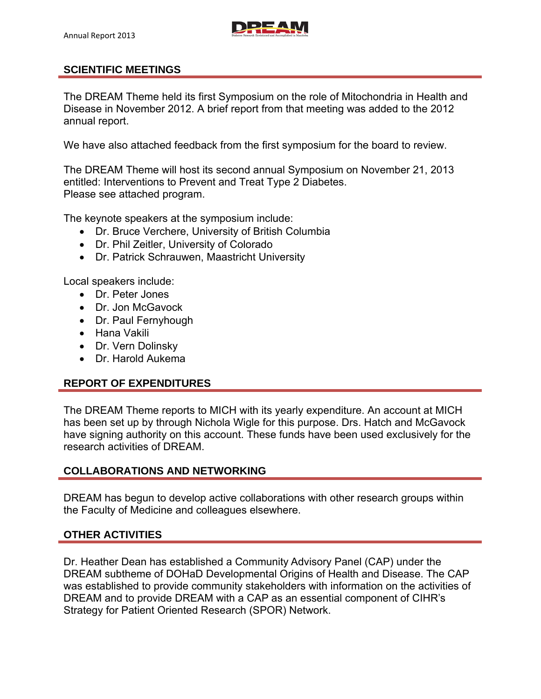## **SCIENTIFIC MEETINGS**

The DREAM Theme held its first Symposium on the role of Mitochondria in Health and Disease in November 2012. A brief report from that meeting was added to the 2012 annual report.

We have also attached feedback from the first symposium for the board to review.

The DREAM Theme will host its second annual Symposium on November 21, 2013 entitled: Interventions to Prevent and Treat Type 2 Diabetes. Please see attached program.

The keynote speakers at the symposium include:

- Dr. Bruce Verchere, University of British Columbia
- Dr. Phil Zeitler, University of Colorado
- Dr. Patrick Schrauwen, Maastricht University

Local speakers include:

- Dr. Peter Jones
- Dr. Jon McGavock
- Dr. Paul Fernyhough
- Hana Vakili
- Dr. Vern Dolinsky
- Dr. Harold Aukema

#### **REPORT OF EXPENDITURES**

The DREAM Theme reports to MICH with its yearly expenditure. An account at MICH has been set up by through Nichola Wigle for this purpose. Drs. Hatch and McGavock have signing authority on this account. These funds have been used exclusively for the research activities of DREAM.

#### **COLLABORATIONS AND NETWORKING**

DREAM has begun to develop active collaborations with other research groups within the Faculty of Medicine and colleagues elsewhere.

#### **OTHER ACTIVITIES**

Dr. Heather Dean has established a Community Advisory Panel (CAP) under the DREAM subtheme of DOHaD Developmental Origins of Health and Disease. The CAP was established to provide community stakeholders with information on the activities of DREAM and to provide DREAM with a CAP as an essential component of CIHR's Strategy for Patient Oriented Research (SPOR) Network.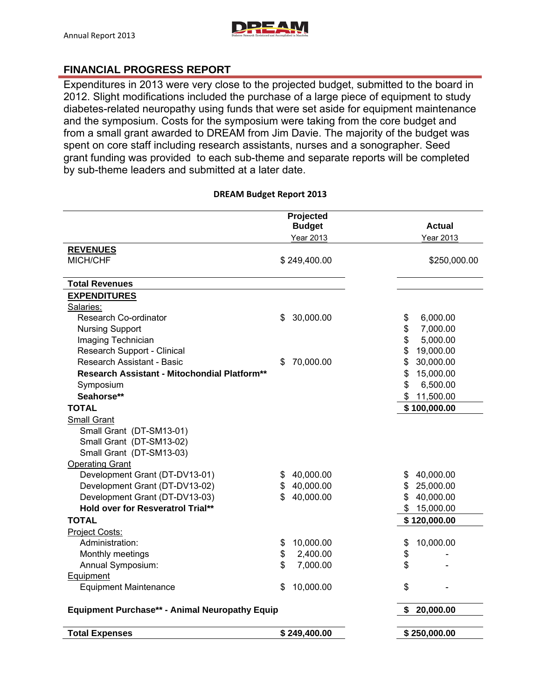

## **FINANCIAL PROGRESS REPORT**

Expenditures in 2013 were very close to the projected budget, submitted to the board in 2012. Slight modifications included the purchase of a large piece of equipment to study diabetes-related neuropathy using funds that were set aside for equipment maintenance and the symposium. Costs for the symposium were taking from the core budget and from a small grant awarded to DREAM from Jim Davie. The majority of the budget was spent on core staff including research assistants, nurses and a sonographer. Seed grant funding was provided to each sub-theme and separate reports will be completed by sub-theme leaders and submitted at a later date.

## **Projected Budget Actual Actual** Year 2013 Year 2013 **REVENUES**  MICH/CHF \$249,400.00 \$250,000.00 \$250,000.00 **Total Revenues EXPENDITURES**  Salaries: Research Co-ordinator **6 and 10** and 1000.00 \$ 6,000.00 \$ 6,000.00 \$ 6,000.00 \$ 6,000.00 \$ 6,000.00 \$ 6,000.00 \$ Nursing Support **\$ 7,000.00** Imaging Technician **by the Contract of Contract Contract Contract Contract Contract Contract Contract Contract Contract Contract Contract Contract Contract Contract Contract Contract Contract Contract Contract Contract Con** Research Support - Clinical **\$ 19,000.00** \$ 19,000.00 Research Assistant - Basic \$ 70,000.00 \$ 30,000.00 **Research Assistant - Mitochondial Platform\*\*** 1997 1997 1998 15,000.00 **Symposium**  $\frac{1}{3}$  **6,500.00 Seahorse\*\*** \$ 11,500.00 **TOTAL \$ 100,000.00**  Small Grant Small Grant (DT-SM13-01) Small Grant (DT-SM13-02) Small Grant (DT-SM13-03) Operating Grant Development Grant (DT-DV13-01) \$ 40,000.00 \$ 40,000.00 Development Grant (DT-DV13-02) \$ 40,000.00 \$ 25,000.00 Development Grant (DT-DV13-03) \$ 40,000.00 \$ 40,000.00  **Hold over for Resveratrol Trial\*\* 8 15,000.00 \$ 15,000.00 TOTAL \$ 120,000.00**  Project Costs: Administration:  $$ 10,000.00$   $$ 10,000.00$ Monthly meetings  $\qquad \qquad \qquad$   $\qquad \qquad$   $\qquad \qquad$   $\qquad \qquad$   $\qquad \qquad$   $\qquad \qquad$   $\qquad \qquad$   $\qquad \qquad$   $\qquad \qquad$   $\qquad \qquad$   $\qquad \qquad$   $\qquad \qquad$   $\qquad$   $\qquad \qquad$   $\qquad \qquad$   $\qquad \qquad$   $\qquad \qquad$   $\qquad \qquad$   $\qquad \qquad$   $\qquad \qquad$   $\qquad \qquad$   $\qquad \qquad$   $\qquad \q$  Annual Symposium: \$ 7,000.00 \$ - Equipment Equipment Maintenance  $\qquad \qquad$  \$ 10,000.00  $\qquad \qquad$  \$ **Equipment Purchase\*\* - Animal Neuropathy Equip 1999 120.000.00**  \$ 20,000.00

**Total Expenses \$ 249,400.00 \$ 250,000.00** 

#### **DREAM Budget Report 2013**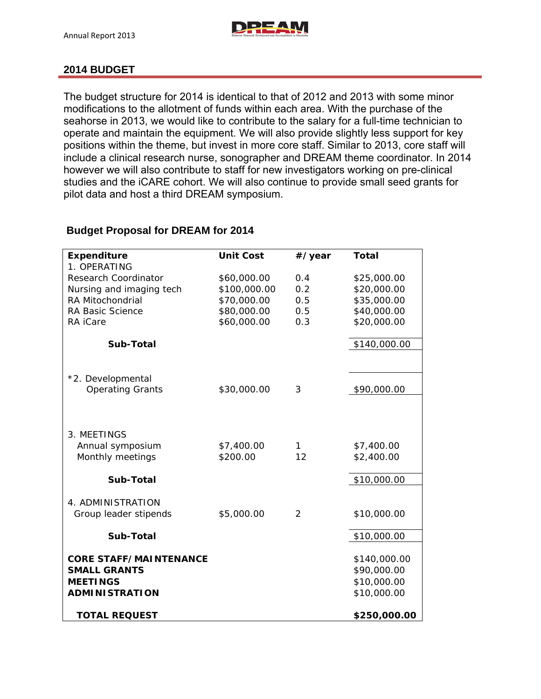

#### **2014 BUDGET**

The budget structure for 2014 is identical to that of 2012 and 2013 with some minor modifications to the allotment of funds within each area. With the purchase of the seahorse in 2013, we would like to contribute to the salary for a full-time technician to operate and maintain the equipment. We will also provide slightly less support for key positions within the theme, but invest in more core staff. Similar to 2013, core staff will include a clinical research nurse, sonographer and DREAM theme coordinator. In 2014 however we will also contribute to staff for new investigators working on pre-clinical studies and the iCARE cohort. We will also continue to provide small seed grants for pilot data and host a third DREAM symposium.

| <b>Expenditure</b>            | <b>Unit Cost</b> | #/year        | <b>Total</b> |
|-------------------------------|------------------|---------------|--------------|
| 1. OPERATING                  |                  |               |              |
| Research Coordinator          | \$60,000.00      | 0.4           | \$25,000.00  |
| Nursing and imaging tech      | \$100,000.00     | 0.2           | \$20,000.00  |
| <b>RA Mitochondrial</b>       | \$70,000.00      | 0.5           | \$35,000.00  |
| <b>RA Basic Science</b>       | \$80,000.00      | 0.5           | \$40,000.00  |
| RA iCare                      | \$60,000.00      | 0.3           | \$20,000.00  |
| Sub-Total                     |                  |               | \$140,000.00 |
|                               |                  |               |              |
| *2. Developmental             |                  |               |              |
| <b>Operating Grants</b>       | \$30,000.00      | 3             | \$90,000.00  |
|                               |                  |               |              |
|                               |                  |               |              |
| 3. MEETINGS                   |                  |               |              |
| Annual symposium              | \$7,400.00       | 1             | \$7,400.00   |
| Monthly meetings              | \$200.00         | 12            | \$2,400.00   |
| Sub-Total                     |                  |               | \$10,000.00  |
| 4. ADMINISTRATION             |                  |               |              |
| Group leader stipends         | \$5,000.00       | $\mathcal{P}$ | \$10,000.00  |
| Sub-Total                     |                  |               |              |
|                               |                  |               | \$10,000.00  |
| <b>CORE STAFF/MAINTENANCE</b> |                  |               | \$140,000.00 |
| <b>SMALL GRANTS</b>           |                  |               | \$90,000.00  |
| <b>MEETINGS</b>               |                  |               | \$10,000.00  |
| <b>ADMINISTRATION</b>         |                  |               | \$10,000.00  |
| <b>TOTAL REQUEST</b>          |                  |               | \$250,000.00 |
|                               |                  |               |              |

#### **Budget Proposal for DREAM for 2014**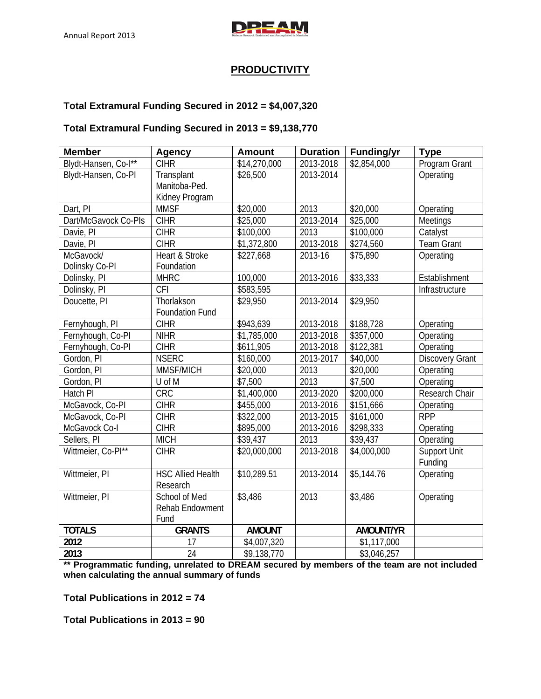

## **PRODUCTIVITY**

#### **Total Extramural Funding Secured in 2012 = \$4,007,320**

#### **Total Extramural Funding Secured in 2013 = \$9,138,770**

| <b>Member</b>        | <b>Agency</b>            | <b>Amount</b> | <b>Duration</b> | <b>Funding/yr</b> | <b>Type</b>            |
|----------------------|--------------------------|---------------|-----------------|-------------------|------------------------|
| Blydt-Hansen, Co-l** | <b>CIHR</b>              | \$14,270,000  | 2013-2018       | \$2,854,000       | Program Grant          |
| Blydt-Hansen, Co-PI  | Transplant               | \$26,500      | 2013-2014       |                   | Operating              |
|                      | Manitoba-Ped.            |               |                 |                   |                        |
|                      | Kidney Program           |               |                 |                   |                        |
| Dart, PI             | <b>MMSF</b>              | \$20,000      | 2013            | \$20,000          | Operating              |
| Dart/McGavock Co-PIs | <b>CIHR</b>              | \$25,000      | 2013-2014       | \$25,000          | Meetings               |
| Davie, PI            | <b>CIHR</b>              | \$100,000     | 2013            | \$100,000         | Catalyst               |
| Davie, PI            | <b>CIHR</b>              | \$1,372,800   | 2013-2018       | \$274,560         | <b>Team Grant</b>      |
| McGavock/            | Heart & Stroke           | \$227,668     | 2013-16         | \$75,890          | Operating              |
| Dolinsky Co-PI       | Foundation               |               |                 |                   |                        |
| Dolinsky, PI         | <b>MHRC</b>              | 100,000       | 2013-2016       | \$33,333          | Establishment          |
| Dolinsky, PI         | <b>CFI</b>               | \$583,595     |                 |                   | Infrastructure         |
| Doucette, PI         | Thorlakson               | \$29,950      | 2013-2014       | \$29,950          |                        |
|                      | <b>Foundation Fund</b>   |               |                 |                   |                        |
| Fernyhough, PI       | <b>CIHR</b>              | \$943,639     | 2013-2018       | \$188,728         | Operating              |
| Fernyhough, Co-PI    | <b>NIHR</b>              | \$1,785,000   | 2013-2018       | \$357,000         | Operating              |
| Fernyhough, Co-PI    | <b>CIHR</b>              | \$611,905     | 2013-2018       | \$122,381         | Operating              |
| Gordon, PI           | <b>NSERC</b>             | \$160,000     | 2013-2017       | \$40,000          | <b>Discovery Grant</b> |
| Gordon, PI           | MMSF/MICH                | \$20,000      | 2013            | \$20,000          | Operating              |
| Gordon, PI           | U of M                   | \$7,500       | 2013            | \$7,500           | Operating              |
| Hatch PI             | CRC                      | \$1,400,000   | 2013-2020       | \$200,000         | Research Chair         |
| McGavock, Co-PI      | <b>CIHR</b>              | \$455,000     | 2013-2016       | \$151,666         | Operating              |
| McGavock, Co-PI      | <b>CIHR</b>              | \$322,000     | 2013-2015       | \$161,000         | <b>RPP</b>             |
| McGavock Co-I        | <b>CIHR</b>              | \$895,000     | 2013-2016       | \$298,333         | Operating              |
| Sellers, PI          | <b>MICH</b>              | \$39,437      | 2013            | \$39,437          | Operating              |
| Wittmeier, Co-Pl**   | <b>CIHR</b>              | \$20,000,000  | 2013-2018       | \$4,000,000       | <b>Support Unit</b>    |
|                      |                          |               |                 |                   | Funding                |
| Wittmeier, PI        | <b>HSC Allied Health</b> | \$10,289.51   | 2013-2014       | \$5,144.76        | Operating              |
|                      | Research                 |               |                 |                   |                        |
| Wittmeier, PI        | School of Med            | \$3,486       | 2013            | \$3,486           | Operating              |
|                      | Rehab Endowment          |               |                 |                   |                        |
|                      | Fund                     |               |                 |                   |                        |
| <b>TOTALS</b>        | <b>GRANTS</b>            | <b>AMOUNT</b> |                 | <b>AMOUNT/YR</b>  |                        |
| 2012                 | 17                       | \$4,007,320   |                 | \$1,117,000       |                        |
| 2013                 | $\overline{24}$          | \$9,138,770   |                 | \$3,046,257       |                        |

**\*\* Programmatic funding, unrelated to DREAM secured by members of the team are not included when calculating the annual summary of funds** 

**Total Publications in 2012 = 74** 

**Total Publications in 2013 = 90**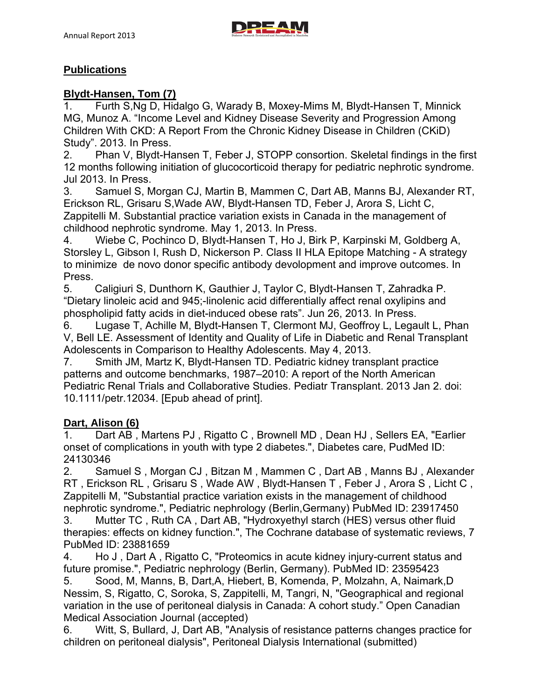

## **Publications**

## **Blydt-Hansen, Tom (7)**

1. Furth S,Ng D, Hidalgo G, Warady B, Moxey-Mims M, Blydt-Hansen T, Minnick MG, Munoz A. "Income Level and Kidney Disease Severity and Progression Among Children With CKD: A Report From the Chronic Kidney Disease in Children (CKiD) Study". 2013. In Press.

2. Phan V, Blydt-Hansen T, Feber J, STOPP consortion. Skeletal findings in the first 12 months following initiation of glucocorticoid therapy for pediatric nephrotic syndrome. Jul 2013. In Press.

3. Samuel S, Morgan CJ, Martin B, Mammen C, Dart AB, Manns BJ, Alexander RT, Erickson RL, Grisaru S,Wade AW, Blydt-Hansen TD, Feber J, Arora S, Licht C, Zappitelli M. Substantial practice variation exists in Canada in the management of childhood nephrotic syndrome. May 1, 2013. In Press.

4. Wiebe C, Pochinco D, Blydt-Hansen T, Ho J, Birk P, Karpinski M, Goldberg A, Storsley L, Gibson I, Rush D, Nickerson P. Class II HLA Epitope Matching - A strategy to minimize de novo donor specific antibody devolopment and improve outcomes. In Press.

5. Caligiuri S, Dunthorn K, Gauthier J, Taylor C, Blydt-Hansen T, Zahradka P. "Dietary linoleic acid and 945;-linolenic acid differentially affect renal oxylipins and phospholipid fatty acids in diet-induced obese rats". Jun 26, 2013. In Press.

6. Lugase T, Achille M, Blydt-Hansen T, Clermont MJ, Geoffroy L, Legault L, Phan V, Bell LE. Assessment of Identity and Quality of Life in Diabetic and Renal Transplant Adolescents in Comparison to Healthy Adolescents. May 4, 2013.

7. Smith JM, Martz K, Blydt-Hansen TD. Pediatric kidney transplant practice patterns and outcome benchmarks, 1987–2010: A report of the North American Pediatric Renal Trials and Collaborative Studies. Pediatr Transplant. 2013 Jan 2. doi: 10.1111/petr.12034. [Epub ahead of print].

#### **Dart, Alison (6)**

1. Dart AB , Martens PJ , Rigatto C , Brownell MD , Dean HJ , Sellers EA, "Earlier onset of complications in youth with type 2 diabetes.", Diabetes care, PudMed ID: 24130346

2. Samuel S , Morgan CJ , Bitzan M , Mammen C , Dart AB , Manns BJ , Alexander RT , Erickson RL , Grisaru S , Wade AW , Blydt-Hansen T , Feber J , Arora S , Licht C , Zappitelli M, "Substantial practice variation exists in the management of childhood nephrotic syndrome.", Pediatric nephrology (Berlin,Germany) PubMed ID: 23917450

3. Mutter TC , Ruth CA , Dart AB, "Hydroxyethyl starch (HES) versus other fluid therapies: effects on kidney function.", The Cochrane database of systematic reviews, 7 PubMed ID: 23881659

4. Ho J , Dart A , Rigatto C, "Proteomics in acute kidney injury-current status and future promise.", Pediatric nephrology (Berlin, Germany). PubMed ID: 23595423

5. Sood, M, Manns, B, Dart,A, Hiebert, B, Komenda, P, Molzahn, A, Naimark,D Nessim, S, Rigatto, C, Soroka, S, Zappitelli, M, Tangri, N, "Geographical and regional variation in the use of peritoneal dialysis in Canada: A cohort study." Open Canadian Medical Association Journal (accepted)

6. Witt, S, Bullard, J, Dart AB, "Analysis of resistance patterns changes practice for children on peritoneal dialysis", Peritoneal Dialysis International (submitted)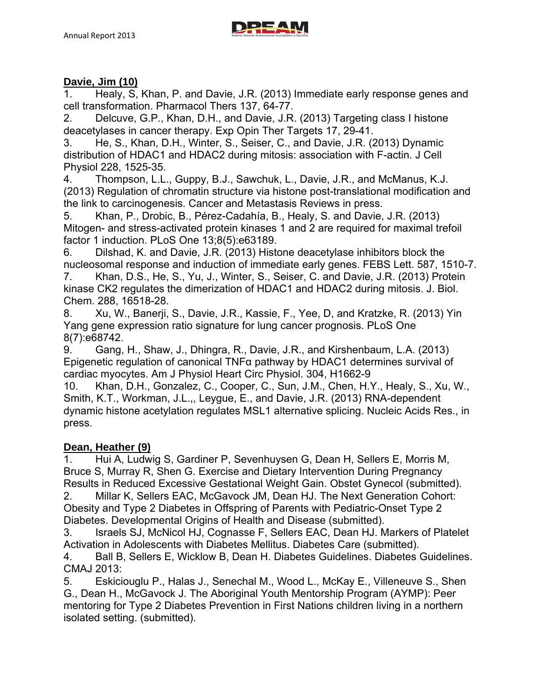

#### **Davie, Jim (10)**

1. Healy, S, Khan, P. and Davie, J.R. (2013) Immediate early response genes and cell transformation. Pharmacol Thers 137, 64-77.

2. Delcuve, G.P., Khan, D.H., and Davie, J.R. (2013) Targeting class I histone deacetylases in cancer therapy. Exp Opin Ther Targets 17, 29-41.

3. He, S., Khan, D.H., Winter, S., Seiser, C., and Davie, J.R. (2013) Dynamic distribution of HDAC1 and HDAC2 during mitosis: association with F-actin. J Cell Physiol 228, 1525-35.

4. Thompson, L.L., Guppy, B.J., Sawchuk, L., Davie, J.R., and McManus, K.J. (2013) Regulation of chromatin structure via histone post-translational modification and the link to carcinogenesis. Cancer and Metastasis Reviews in press.

5. Khan, P., Drobic, B., Pérez-Cadahía, B., Healy, S. and Davie, J.R. (2013) Mitogen- and stress-activated protein kinases 1 and 2 are required for maximal trefoil factor 1 induction. PLoS One 13;8(5):e63189.

6. Dilshad, K. and Davie, J.R. (2013) Histone deacetylase inhibitors block the nucleosomal response and induction of immediate early genes. FEBS Lett. 587, 1510-7.

7. Khan, D.S., He, S., Yu, J., Winter, S., Seiser, C. and Davie, J.R. (2013) Protein kinase CK2 regulates the dimerization of HDAC1 and HDAC2 during mitosis. J. Biol. Chem. 288, 16518-28.

8. Xu, W., Banerji, S., Davie, J.R., Kassie, F., Yee, D, and Kratzke, R. (2013) Yin Yang gene expression ratio signature for lung cancer prognosis. PLoS One 8(7):e68742.

9. Gang, H., Shaw, J., Dhingra, R., Davie, J.R., and Kirshenbaum, L.A. (2013) Epigenetic regulation of canonical TNFα pathway by HDAC1 determines survival of cardiac myocytes. Am J Physiol Heart Circ Physiol. 304, H1662-9

10. Khan, D.H., Gonzalez, C., Cooper, C., Sun, J.M., Chen, H.Y., Healy, S., Xu, W., Smith, K.T., Workman, J.L.,, Leygue, E., and Davie, J.R. (2013) RNA-dependent dynamic histone acetylation regulates MSL1 alternative splicing. Nucleic Acids Res., in press.

#### **Dean, Heather (9)**

1. Hui A, Ludwig S, Gardiner P, Sevenhuysen G, Dean H, Sellers E, Morris M, Bruce S, Murray R, Shen G. Exercise and Dietary Intervention During Pregnancy Results in Reduced Excessive Gestational Weight Gain. Obstet Gynecol (submitted).

2. Millar K, Sellers EAC, McGavock JM, Dean HJ. The Next Generation Cohort: Obesity and Type 2 Diabetes in Offspring of Parents with Pediatric-Onset Type 2 Diabetes. Developmental Origins of Health and Disease (submitted).

3. Israels SJ, McNicol HJ, Cognasse F, Sellers EAC, Dean HJ. Markers of Platelet Activation in Adolescents with Diabetes Mellitus. Diabetes Care (submitted).

4. Ball B, Sellers E, Wicklow B, Dean H. Diabetes Guidelines. Diabetes Guidelines. CMAJ 2013:

5. Eskiciouglu P., Halas J., Senechal M., Wood L., McKay E., Villeneuve S., Shen G., Dean H., McGavock J. The Aboriginal Youth Mentorship Program (AYMP): Peer mentoring for Type 2 Diabetes Prevention in First Nations children living in a northern isolated setting. (submitted).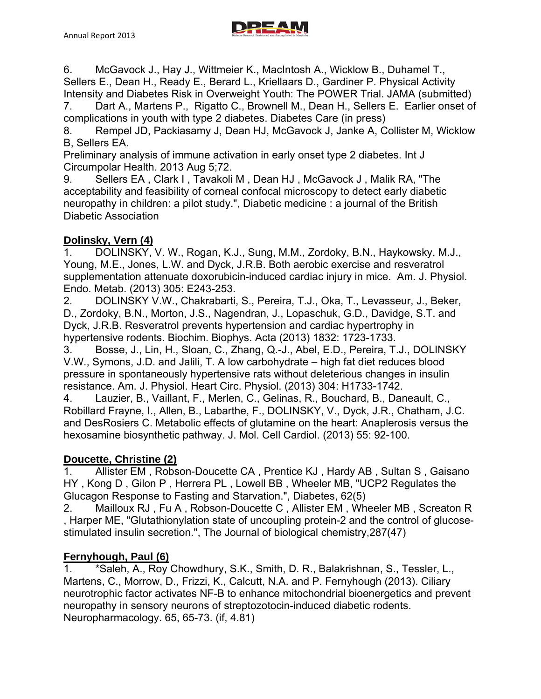

7. Dart A., Martens P., Rigatto C., Brownell M., Dean H., Sellers E. Earlier onset of complications in youth with type 2 diabetes. Diabetes Care (in press)

8. Rempel JD, Packiasamy J, Dean HJ, McGavock J, Janke A, Collister M, Wicklow B, Sellers EA.

Preliminary analysis of immune activation in early onset type 2 diabetes. Int J Circumpolar Health. 2013 Aug 5;72.

9. Sellers EA, Clark I, Tavakoli M, Dean HJ, McGavock J. Malik RA. "The acceptability and feasibility of corneal confocal microscopy to detect early diabetic neuropathy in children: a pilot study.", Diabetic medicine : a journal of the British Diabetic Association

# **Dolinsky, Vern (4)**

1. DOLINSKY, V. W., Rogan, K.J., Sung, M.M., Zordoky, B.N., Haykowsky, M.J., Young, M.E., Jones, L.W. and Dyck, J.R.B. Both aerobic exercise and resveratrol supplementation attenuate doxorubicin-induced cardiac injury in mice. Am. J. Physiol. Endo. Metab. (2013) 305: E243-253.

2. DOLINSKY V.W., Chakrabarti, S., Pereira, T.J., Oka, T., Levasseur, J., Beker, D., Zordoky, B.N., Morton, J.S., Nagendran, J., Lopaschuk, G.D., Davidge, S.T. and Dyck, J.R.B. Resveratrol prevents hypertension and cardiac hypertrophy in hypertensive rodents. Biochim. Biophys. Acta (2013) 1832: 1723-1733.

3. Bosse, J., Lin, H., Sloan, C., Zhang, Q.-J., Abel, E.D., Pereira, T.J., DOLINSKY V.W., Symons, J.D. and Jalili, T. A low carbohydrate – high fat diet reduces blood pressure in spontaneously hypertensive rats without deleterious changes in insulin resistance. Am. J. Physiol. Heart Circ. Physiol. (2013) 304: H1733-1742.

4. Lauzier, B., Vaillant, F., Merlen, C., Gelinas, R., Bouchard, B., Daneault, C., Robillard Frayne, I., Allen, B., Labarthe, F., DOLINSKY, V., Dyck, J.R., Chatham, J.C. and DesRosiers C. Metabolic effects of glutamine on the heart: Anaplerosis versus the hexosamine biosynthetic pathway. J. Mol. Cell Cardiol. (2013) 55: 92-100.

# **Doucette, Christine (2)**

1. Allister EM , Robson-Doucette CA , Prentice KJ , Hardy AB , Sultan S , Gaisano HY , Kong D , Gilon P , Herrera PL , Lowell BB , Wheeler MB, "UCP2 Regulates the Glucagon Response to Fasting and Starvation.", Diabetes, 62(5)

2. Mailloux RJ , Fu A , Robson-Doucette C , Allister EM , Wheeler MB , Screaton R , Harper ME, "Glutathionylation state of uncoupling protein-2 and the control of glucosestimulated insulin secretion.", The Journal of biological chemistry,287(47)

# **Fernyhough, Paul (6)**

1. \*Saleh, A., Roy Chowdhury, S.K., Smith, D. R., Balakrishnan, S., Tessler, L., Martens, C., Morrow, D., Frizzi, K., Calcutt, N.A. and P. Fernyhough (2013). Ciliary neurotrophic factor activates NF-B to enhance mitochondrial bioenergetics and prevent neuropathy in sensory neurons of streptozotocin-induced diabetic rodents. Neuropharmacology. 65, 65-73. (if, 4.81)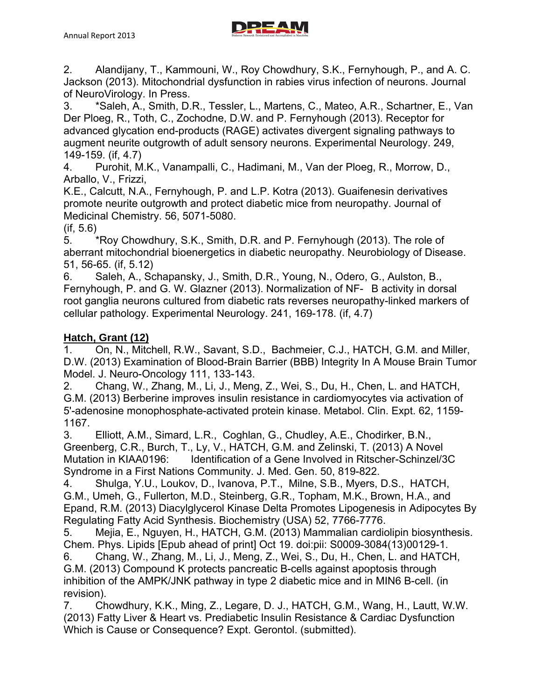

of NeuroVirology. In Press. 3. \*Saleh, A., Smith, D.R., Tessler, L., Martens, C., Mateo, A.R., Schartner, E., Van Der Ploeg, R., Toth, C., Zochodne, D.W. and P. Fernyhough (2013). Receptor for advanced glycation end-products (RAGE) activates divergent signaling pathways to augment neurite outgrowth of adult sensory neurons. Experimental Neurology. 249, 149-159. (if, 4.7)

4. Purohit, M.K., Vanampalli, C., Hadimani, M., Van der Ploeg, R., Morrow, D., Arballo, V., Frizzi,

K.E., Calcutt, N.A., Fernyhough, P. and L.P. Kotra (2013). Guaifenesin derivatives promote neurite outgrowth and protect diabetic mice from neuropathy. Journal of Medicinal Chemistry. 56, 5071-5080.

(if, 5.6)

5. \*Roy Chowdhury, S.K., Smith, D.R. and P. Fernyhough (2013). The role of aberrant mitochondrial bioenergetics in diabetic neuropathy. Neurobiology of Disease. 51, 56-65. (if, 5.12)

6. Saleh, A., Schapansky, J., Smith, D.R., Young, N., Odero, G., Aulston, B., Fernyhough, P. and G. W. Glazner (2013). Normalization of NF-B activity in dorsal root ganglia neurons cultured from diabetic rats reverses neuropathy-linked markers of cellular pathology. Experimental Neurology. 241, 169-178. (if, 4.7)

## **Hatch, Grant (12)**

1. On, N., Mitchell, R.W., Savant, S.D., Bachmeier, C.J., HATCH, G.M. and Miller, D.W. (2013) Examination of Blood-Brain Barrier (BBB) Integrity In A Mouse Brain Tumor Model. J. Neuro-Oncology 111, 133-143.

2. Chang, W., Zhang, M., Li, J., Meng, Z., Wei, S., Du, H., Chen, L. and HATCH, G.M. (2013) Berberine improves insulin resistance in cardiomyocytes via activation of 5'-adenosine monophosphate-activated protein kinase. Metabol. Clin. Expt. 62, 1159- 1167.

3. Elliott, A.M., Simard, L.R., Coghlan, G., Chudley, A.E., Chodirker, B.N., Greenberg, C.R., Burch, T., Ly, V., HATCH, G.M. and Zelinski, T. (2013) A Novel Mutation in KIAA0196: Identification of a Gene Involved in Ritscher-Schinzel/3C Syndrome in a First Nations Community. J. Med. Gen. 50, 819-822.

4. Shulga, Y.U., Loukov, D., Ivanova, P.T., Milne, S.B., Myers, D.S., HATCH, G.M., Umeh, G., Fullerton, M.D., Steinberg, G.R., Topham, M.K., Brown, H.A., and Epand, R.M. (2013) Diacylglycerol Kinase Delta Promotes Lipogenesis in Adipocytes By Regulating Fatty Acid Synthesis. Biochemistry (USA) 52, 7766-7776.

5. Mejia, E., Nguyen, H., HATCH, G.M. (2013) Mammalian cardiolipin biosynthesis. Chem. Phys. Lipids [Epub ahead of print] Oct 19. doi:pii: S0009-3084(13)00129-1.

6. Chang, W., Zhang, M., Li, J., Meng, Z., Wei, S., Du, H., Chen, L. and HATCH, G.M. (2013) Compound K protects pancreatic B-cells against apoptosis through inhibition of the AMPK/JNK pathway in type 2 diabetic mice and in MIN6 B-cell. (in revision).

7. Chowdhury, K.K., Ming, Z., Legare, D. J., HATCH, G.M., Wang, H., Lautt, W.W. (2013) Fatty Liver & Heart vs. Prediabetic Insulin Resistance & Cardiac Dysfunction Which is Cause or Consequence? Expt. Gerontol. (submitted).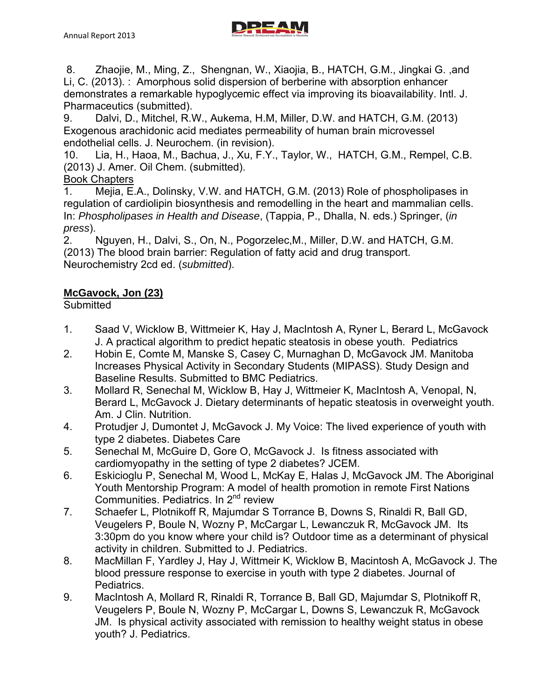

 8. Zhaojie, M., Ming, Z., Shengnan, W., Xiaojia, B., HATCH, G.M., Jingkai G. ,and Li, C. (2013). : Amorphous solid dispersion of berberine with absorption enhancer demonstrates a remarkable hypoglycemic effect via improving its bioavailability. Intl. J. Pharmaceutics (submitted).

9. Dalvi, D., Mitchel, R.W., Aukema, H.M, Miller, D.W. and HATCH, G.M. (2013) Exogenous arachidonic acid mediates permeability of human brain microvessel endothelial cells. J. Neurochem. (in revision).

10. Lia, H., Haoa, M., Bachua, J., Xu, F.Y., Taylor, W., HATCH, G.M., Rempel, C.B. (2013) J. Amer. Oil Chem. (submitted).

# Book Chapters

1. Mejia, E.A., Dolinsky, V.W. and HATCH, G.M. (2013) Role of phospholipases in regulation of cardiolipin biosynthesis and remodelling in the heart and mammalian cells. In: *Phospholipases in Health and Disease*, (Tappia, P., Dhalla, N. eds.) Springer, (*in press*).

2. Nguyen, H., Dalvi, S., On, N., Pogorzelec,M., Miller, D.W. and HATCH, G.M. (2013) The blood brain barrier: Regulation of fatty acid and drug transport. Neurochemistry 2cd ed. (*submitted*).

# **McGavock, Jon (23)**

# **Submitted**

- 1. Saad V, Wicklow B, Wittmeier K, Hay J, MacIntosh A, Ryner L, Berard L, McGavock J. A practical algorithm to predict hepatic steatosis in obese youth. Pediatrics
- 2. Hobin E, Comte M, Manske S, Casey C, Murnaghan D, McGavock JM. Manitoba Increases Physical Activity in Secondary Students (MIPASS). Study Design and Baseline Results. Submitted to BMC Pediatrics.
- 3. Mollard R, Senechal M, Wicklow B, Hay J, Wittmeier K, MacIntosh A, Venopal, N, Berard L, McGavock J. Dietary determinants of hepatic steatosis in overweight youth. Am. J Clin. Nutrition.
- 4. Protudjer J, Dumontet J, McGavock J. My Voice: The lived experience of youth with type 2 diabetes. Diabetes Care
- 5. Senechal M, McGuire D, Gore O, McGavock J. Is fitness associated with cardiomyopathy in the setting of type 2 diabetes? JCEM.
- 6. Eskicioglu P, Senechal M, Wood L, McKay E, Halas J, McGavock JM. The Aboriginal Youth Mentorship Program: A model of health promotion in remote First Nations Communities. Pediatrics. In 2<sup>nd</sup> review
- 7. Schaefer L, Plotnikoff R, Majumdar S Torrance B, Downs S, Rinaldi R, Ball GD, Veugelers P, Boule N, Wozny P, McCargar L, Lewanczuk R, McGavock JM. Its 3:30pm do you know where your child is? Outdoor time as a determinant of physical activity in children. Submitted to J. Pediatrics.
- 8. MacMillan F, Yardley J, Hay J, Wittmeir K, Wicklow B, Macintosh A, McGavock J. The blood pressure response to exercise in youth with type 2 diabetes. Journal of Pediatrics.
- 9. MacIntosh A, Mollard R, Rinaldi R, Torrance B, Ball GD, Majumdar S, Plotnikoff R, Veugelers P, Boule N, Wozny P, McCargar L, Downs S, Lewanczuk R, McGavock JM. Is physical activity associated with remission to healthy weight status in obese youth? J. Pediatrics.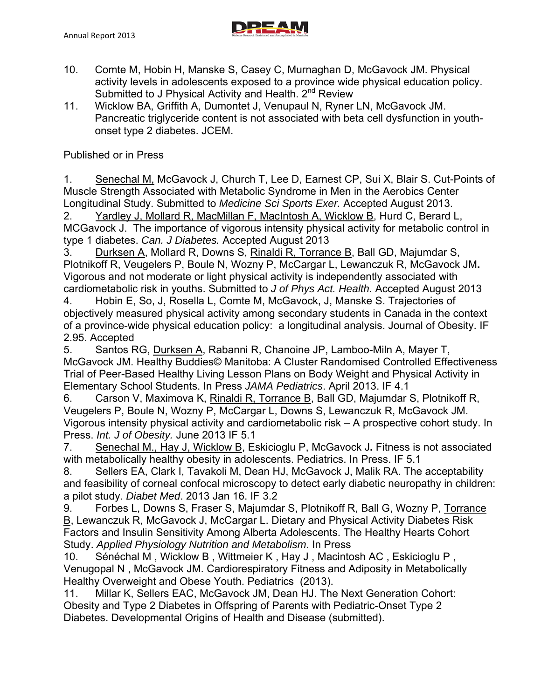

- 10. Comte M, Hobin H, Manske S, Casey C, Murnaghan D, McGavock JM. Physical activity levels in adolescents exposed to a province wide physical education policy. Submitted to J Physical Activity and Health. 2<sup>nd</sup> Review
- 11. Wicklow BA, Griffith A, Dumontet J, Venupaul N, Ryner LN, McGavock JM. Pancreatic triglyceride content is not associated with beta cell dysfunction in youthonset type 2 diabetes. JCEM.

Published or in Press

1. Senechal M, McGavock J, Church T, Lee D, Earnest CP, Sui X, Blair S. Cut-Points of Muscle Strength Associated with Metabolic Syndrome in Men in the Aerobics Center Longitudinal Study. Submitted to *Medicine Sci Sports Exer.* Accepted August 2013.

2. Yardley J, Mollard R, MacMillan F, MacIntosh A, Wicklow B, Hurd C, Berard L, MCGavock J. The importance of vigorous intensity physical activity for metabolic control in type 1 diabetes. *Can. J Diabetes.* Accepted August 2013

3. Durksen A, Mollard R, Downs S, Rinaldi R, Torrance B, Ball GD, Majumdar S, Plotnikoff R, Veugelers P, Boule N, Wozny P, McCargar L, Lewanczuk R, McGavock JM**.**  Vigorous and not moderate or light physical activity is independently associated with cardiometabolic risk in youths. Submitted to *J of Phys Act. Health.* Accepted August 2013

4. Hobin E, So, J, Rosella L, Comte M, McGavock, J, Manske S. Trajectories of objectively measured physical activity among secondary students in Canada in the context of a province-wide physical education policy: a longitudinal analysis. Journal of Obesity. IF 2.95. Accepted

5. Santos RG, Durksen A, Rabanni R, Chanoine JP, Lamboo-Miln A, Mayer T, McGavock JM. Healthy Buddies© Manitoba: A Cluster Randomised Controlled Effectiveness Trial of Peer-Based Healthy Living Lesson Plans on Body Weight and Physical Activity in Elementary School Students. In Press *JAMA Pediatrics*. April 2013. IF 4.1

6. Carson V, Maximova K, Rinaldi R, Torrance B, Ball GD, Majumdar S, Plotnikoff R, Veugelers P, Boule N, Wozny P, McCargar L, Downs S, Lewanczuk R, McGavock JM. Vigorous intensity physical activity and cardiometabolic risk – A prospective cohort study. In Press. *Int. J of Obesity.* June 2013 IF 5.1

7. Senechal M., Hay J, Wicklow B, Eskicioglu P, McGavock J**.** Fitness is not associated with metabolically healthy obesity in adolescents. Pediatrics. In Press. IF 5.1

8. Sellers EA, Clark I, Tavakoli M, Dean HJ, McGavock J, Malik RA. The acceptability and feasibility of corneal confocal microscopy to detect early diabetic neuropathy in children: a pilot study. *Diabet Med*. 2013 Jan 16. IF 3.2

9. Forbes L, Downs S, Fraser S, Majumdar S, Plotnikoff R, Ball G, Wozny P, Torrance B, Lewanczuk R, McGavock J, McCargar L. Dietary and Physical Activity Diabetes Risk Factors and Insulin Sensitivity Among Alberta Adolescents. The Healthy Hearts Cohort Study. *Applied Physiology Nutrition and Metabolism*. In Press

10. Sénéchal M , Wicklow B , Wittmeier K , Hay J , Macintosh AC , Eskicioglu P , Venugopal N , McGavock JM. Cardiorespiratory Fitness and Adiposity in Metabolically Healthy Overweight and Obese Youth. Pediatrics (2013).

11. Millar K, Sellers EAC, McGavock JM, Dean HJ. The Next Generation Cohort: Obesity and Type 2 Diabetes in Offspring of Parents with Pediatric-Onset Type 2 Diabetes. Developmental Origins of Health and Disease (submitted).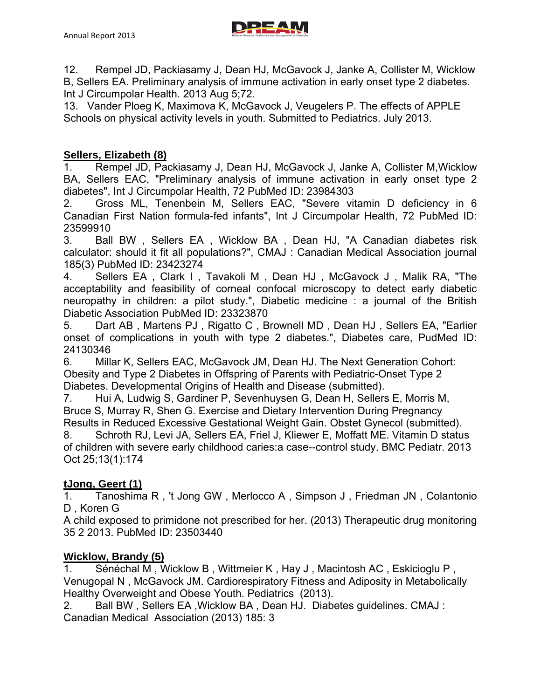

12. Rempel JD, Packiasamy J, Dean HJ, McGavock J, Janke A, Collister M, Wicklow B, Sellers EA. Preliminary analysis of immune activation in early onset type 2 diabetes. Int J Circumpolar Health. 2013 Aug 5;72.

13. Vander Ploeg K, Maximova K, McGavock J, Veugelers P. The effects of APPLE Schools on physical activity levels in youth. Submitted to Pediatrics. July 2013.

## **Sellers, Elizabeth (8)**

1. Rempel JD, Packiasamy J, Dean HJ, McGavock J, Janke A, Collister M,Wicklow BA, Sellers EAC, "Preliminary analysis of immune activation in early onset type 2 diabetes", Int J Circumpolar Health, 72 PubMed ID: 23984303

2. Gross ML, Tenenbein M, Sellers EAC, "Severe vitamin D deficiency in 6 Canadian First Nation formula-fed infants", Int J Circumpolar Health, 72 PubMed ID: 23599910

3. Ball BW , Sellers EA , Wicklow BA , Dean HJ, "A Canadian diabetes risk calculator: should it fit all populations?", CMAJ : Canadian Medical Association journal 185(3) PubMed ID: 23423274

4. Sellers EA , Clark I , Tavakoli M , Dean HJ , McGavock J , Malik RA, "The acceptability and feasibility of corneal confocal microscopy to detect early diabetic neuropathy in children: a pilot study.", Diabetic medicine : a journal of the British Diabetic Association PubMed ID: 23323870

5. Dart AB , Martens PJ , Rigatto C , Brownell MD , Dean HJ , Sellers EA, "Earlier onset of complications in youth with type 2 diabetes.", Diabetes care, PudMed ID: 24130346

6. Millar K, Sellers EAC, McGavock JM, Dean HJ. The Next Generation Cohort: Obesity and Type 2 Diabetes in Offspring of Parents with Pediatric-Onset Type 2 Diabetes. Developmental Origins of Health and Disease (submitted).

7. Hui A, Ludwig S, Gardiner P, Sevenhuysen G, Dean H, Sellers E, Morris M, Bruce S, Murray R, Shen G. Exercise and Dietary Intervention During Pregnancy Results in Reduced Excessive Gestational Weight Gain. Obstet Gynecol (submitted).

8. Schroth RJ, Levi JA, Sellers EA, Friel J, Kliewer E, Moffatt ME. Vitamin D status of children with severe early childhood caries:a case--control study. BMC Pediatr. 2013 Oct 25;13(1):174

# **tJong, Geert (1)**

1. Tanoshima R , 't Jong GW , Merlocco A , Simpson J , Friedman JN , Colantonio D , Koren G

A child exposed to primidone not prescribed for her. (2013) Therapeutic drug monitoring 35 2 2013. PubMed ID: 23503440

#### **Wicklow, Brandy (5)**

1. Sénéchal M , Wicklow B , Wittmeier K , Hay J , Macintosh AC , Eskicioglu P , Venugopal N , McGavock JM. Cardiorespiratory Fitness and Adiposity in Metabolically Healthy Overweight and Obese Youth. Pediatrics (2013).

2. Ball BW , Sellers EA ,Wicklow BA , Dean HJ. Diabetes guidelines. CMAJ : Canadian Medical Association (2013) 185: 3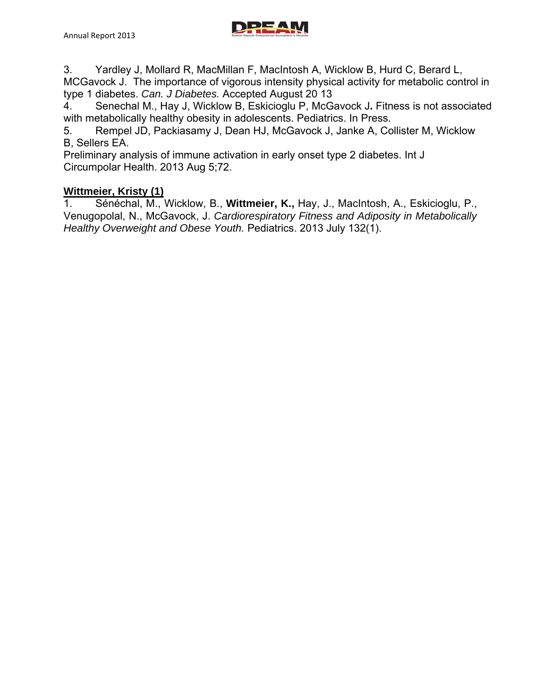

3. Yardley J, Mollard R, MacMillan F, MacIntosh A, Wicklow B, Hurd C, Berard L, MCGavock J. The importance of vigorous intensity physical activity for metabolic control in type 1 diabetes. *Can. J Diabetes.* Accepted August 20 13

4. Senechal M., Hay J, Wicklow B, Eskicioglu P, McGavock J**.** Fitness is not associated with metabolically healthy obesity in adolescents. Pediatrics. In Press.

5. Rempel JD, Packiasamy J, Dean HJ, McGavock J, Janke A, Collister M, Wicklow B, Sellers EA.

Preliminary analysis of immune activation in early onset type 2 diabetes. Int J Circumpolar Health. 2013 Aug 5;72.

## **Wittmeier, Kristy (1)**

1. Sénéchal, M., Wicklow, B., **Wittmeier, K.,** Hay, J., MacIntosh, A., Eskicioglu, P., Venugopolal, N., McGavock, J. *Cardiorespiratory Fitness and Adiposity in Metabolically Healthy Overweight and Obese Youth.* Pediatrics. 2013 July 132(1).